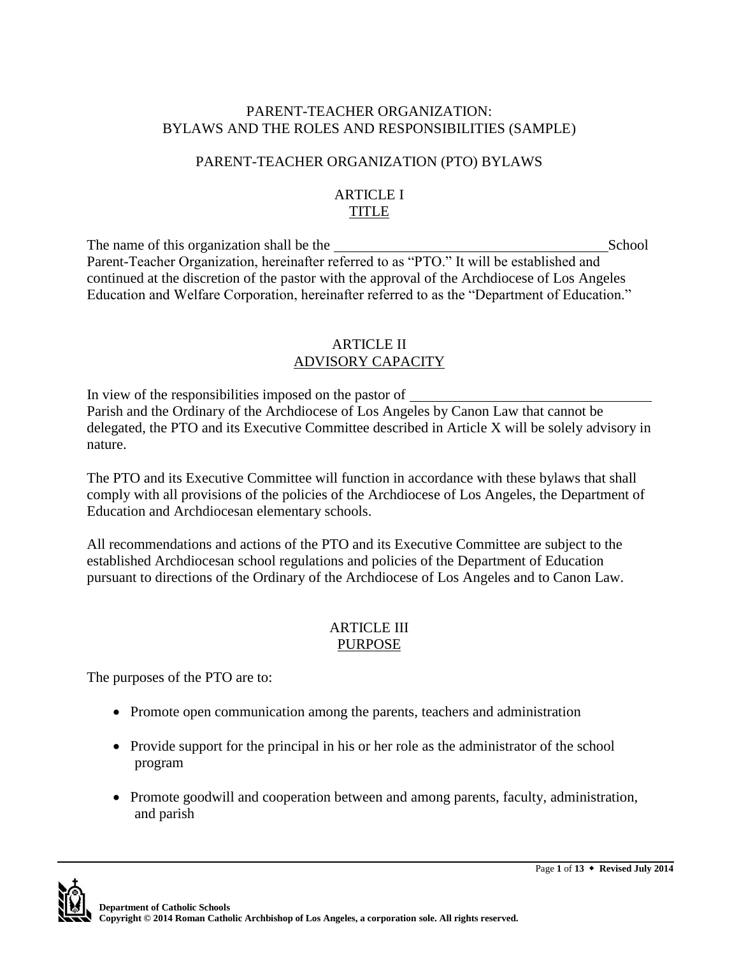#### PARENT-TEACHER ORGANIZATION: BYLAWS AND THE ROLES AND RESPONSIBILITIES (SAMPLE)

## PARENT-TEACHER ORGANIZATION (PTO) BYLAWS

#### ARTICLE I TITLE

The name of this organization shall be the School School Parent-Teacher Organization, hereinafter referred to as "PTO." It will be established and continued at the discretion of the pastor with the approval of the Archdiocese of Los Angeles Education and Welfare Corporation, hereinafter referred to as the "Department of Education."

## ARTICLE II ADVISORY CAPACITY

In view of the responsibilities imposed on the pastor of Parish and the Ordinary of the Archdiocese of Los Angeles by Canon Law that cannot be delegated, the PTO and its Executive Committee described in Article X will be solely advisory in nature.

The PTO and its Executive Committee will function in accordance with these bylaws that shall comply with all provisions of the policies of the Archdiocese of Los Angeles, the Department of Education and Archdiocesan elementary schools.

All recommendations and actions of the PTO and its Executive Committee are subject to the established Archdiocesan school regulations and policies of the Department of Education pursuant to directions of the Ordinary of the Archdiocese of Los Angeles and to Canon Law.

## ARTICLE III PURPOSE

The purposes of the PTO are to:

- Promote open communication among the parents, teachers and administration
- Provide support for the principal in his or her role as the administrator of the school program
- Promote goodwill and cooperation between and among parents, faculty, administration, and parish

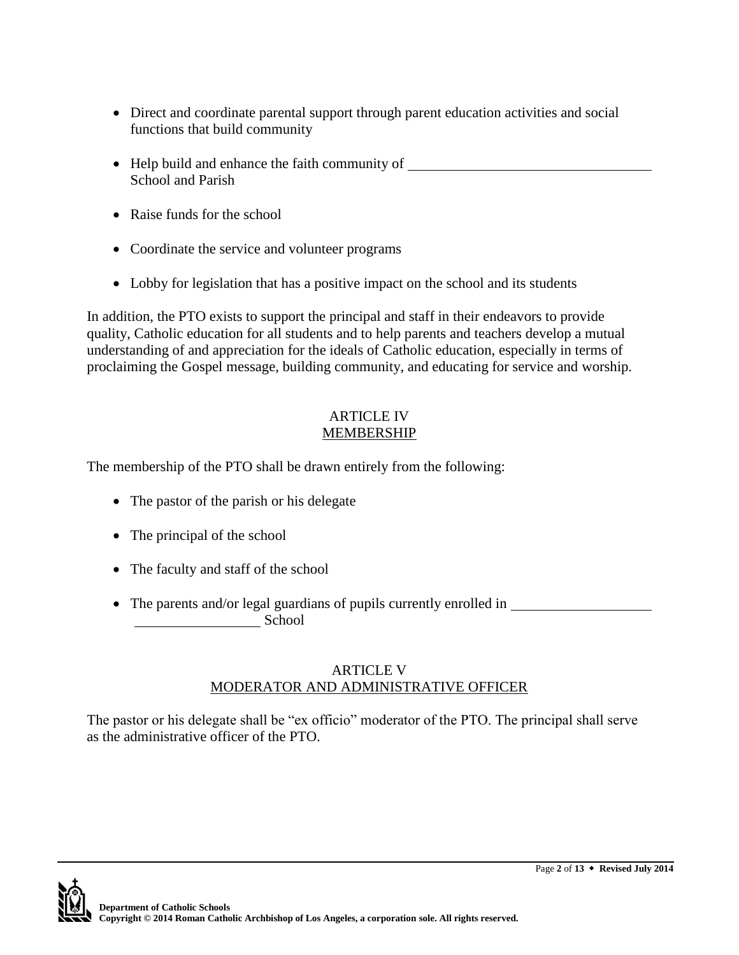- Direct and coordinate parental support through parent education activities and social functions that build community
- Help build and enhance the faith community of School and Parish
- Raise funds for the school
- Coordinate the service and volunteer programs
- Lobby for legislation that has a positive impact on the school and its students

In addition, the PTO exists to support the principal and staff in their endeavors to provide quality, Catholic education for all students and to help parents and teachers develop a mutual understanding of and appreciation for the ideals of Catholic education, especially in terms of proclaiming the Gospel message, building community, and educating for service and worship.

#### ARTICLE IV MEMBERSHIP

The membership of the PTO shall be drawn entirely from the following:

- The pastor of the parish or his delegate
- The principal of the school
- The faculty and staff of the school
- The parents and/or legal guardians of pupils currently enrolled in School School

## ARTICLE V MODERATOR AND ADMINISTRATIVE OFFICER

The pastor or his delegate shall be "ex officio" moderator of the PTO. The principal shall serve as the administrative officer of the PTO.

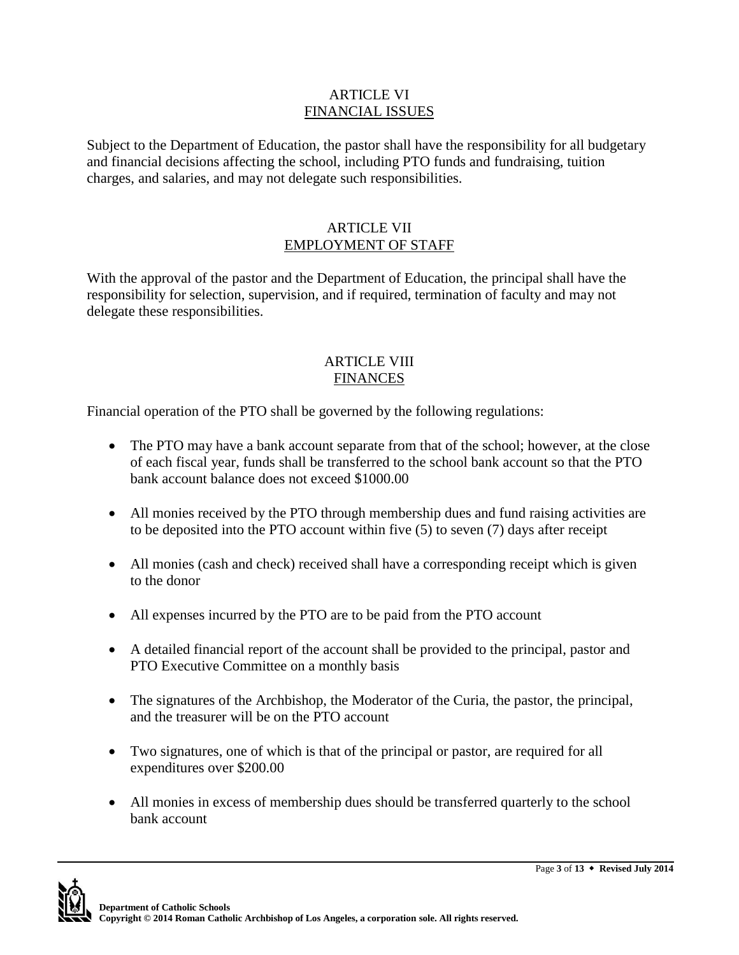#### ARTICLE VI FINANCIAL ISSUES

Subject to the Department of Education, the pastor shall have the responsibility for all budgetary and financial decisions affecting the school, including PTO funds and fundraising, tuition charges, and salaries, and may not delegate such responsibilities.

#### ARTICLE VII EMPLOYMENT OF STAFF

With the approval of the pastor and the Department of Education, the principal shall have the responsibility for selection, supervision, and if required, termination of faculty and may not delegate these responsibilities.

#### ARTICLE VIII **FINANCES**

Financial operation of the PTO shall be governed by the following regulations:

- The PTO may have a bank account separate from that of the school; however, at the close of each fiscal year, funds shall be transferred to the school bank account so that the PTO bank account balance does not exceed \$1000.00
- All monies received by the PTO through membership dues and fund raising activities are to be deposited into the PTO account within five (5) to seven (7) days after receipt
- All monies (cash and check) received shall have a corresponding receipt which is given to the donor
- All expenses incurred by the PTO are to be paid from the PTO account
- A detailed financial report of the account shall be provided to the principal, pastor and PTO Executive Committee on a monthly basis
- The signatures of the Archbishop, the Moderator of the Curia, the pastor, the principal, and the treasurer will be on the PTO account
- Two signatures, one of which is that of the principal or pastor, are required for all expenditures over \$200.00
- All monies in excess of membership dues should be transferred quarterly to the school bank account

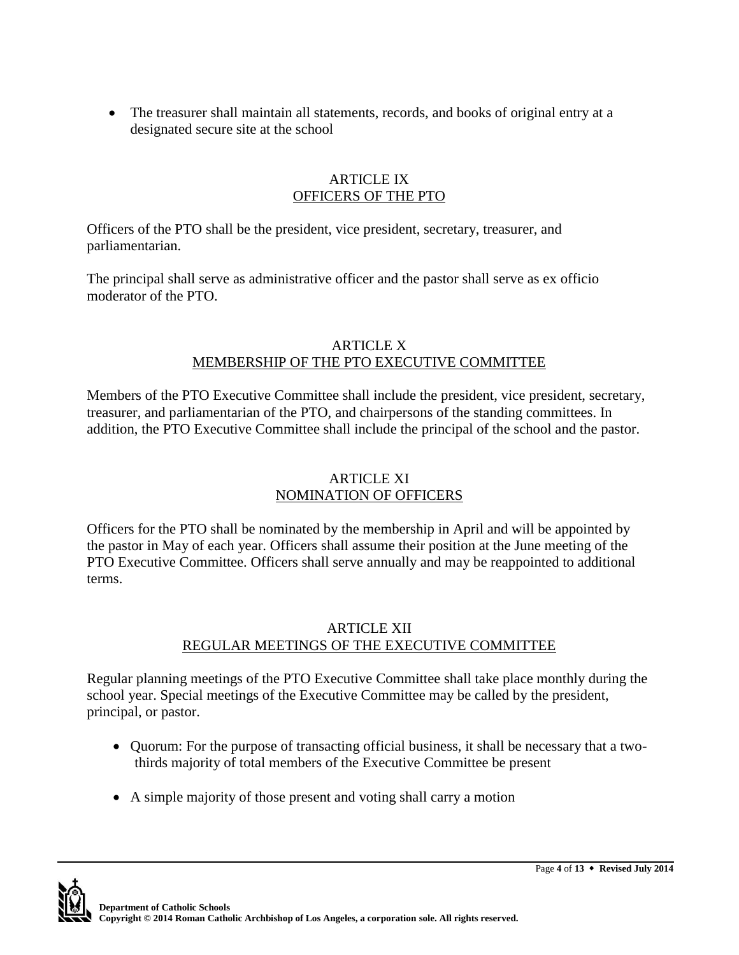• The treasurer shall maintain all statements, records, and books of original entry at a designated secure site at the school

#### ARTICLE IX OFFICERS OF THE PTO

Officers of the PTO shall be the president, vice president, secretary, treasurer, and parliamentarian.

The principal shall serve as administrative officer and the pastor shall serve as ex officio moderator of the PTO.

#### ARTICLE X MEMBERSHIP OF THE PTO EXECUTIVE COMMITTEE

Members of the PTO Executive Committee shall include the president, vice president, secretary, treasurer, and parliamentarian of the PTO, and chairpersons of the standing committees. In addition, the PTO Executive Committee shall include the principal of the school and the pastor.

## ARTICLE XI NOMINATION OF OFFICERS

Officers for the PTO shall be nominated by the membership in April and will be appointed by the pastor in May of each year. Officers shall assume their position at the June meeting of the PTO Executive Committee. Officers shall serve annually and may be reappointed to additional terms.

#### ARTICLE XII REGULAR MEETINGS OF THE EXECUTIVE COMMITTEE

Regular planning meetings of the PTO Executive Committee shall take place monthly during the school year. Special meetings of the Executive Committee may be called by the president, principal, or pastor.

- Quorum: For the purpose of transacting official business, it shall be necessary that a twothirds majority of total members of the Executive Committee be present
- A simple majority of those present and voting shall carry a motion

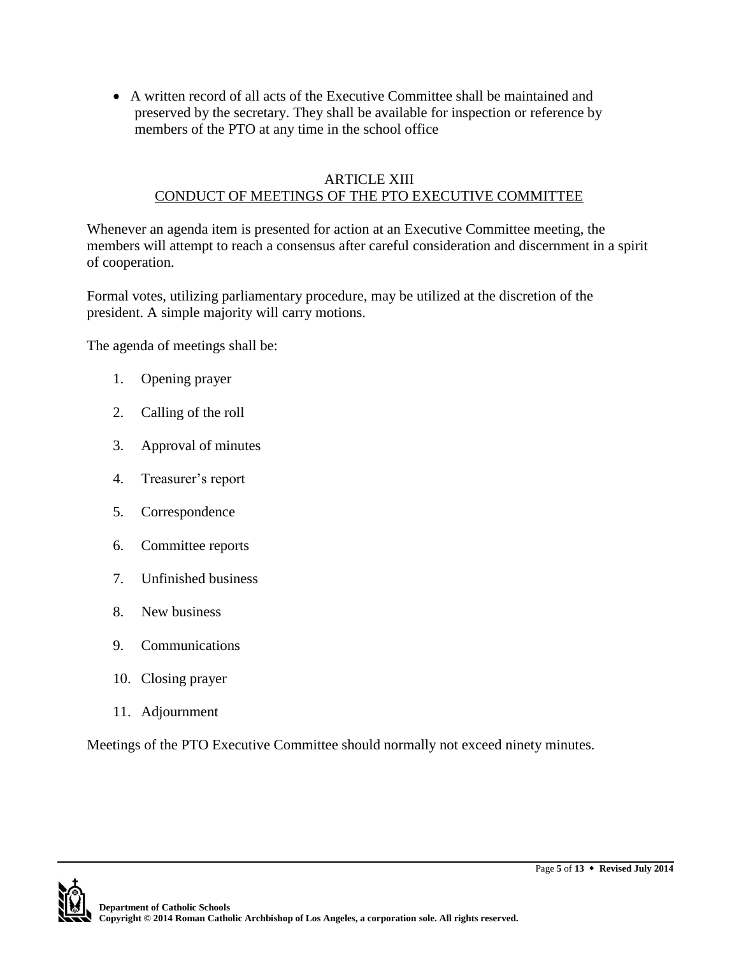A written record of all acts of the Executive Committee shall be maintained and preserved by the secretary. They shall be available for inspection or reference by members of the PTO at any time in the school office

#### ARTICLE XIII CONDUCT OF MEETINGS OF THE PTO EXECUTIVE COMMITTEE

Whenever an agenda item is presented for action at an Executive Committee meeting, the members will attempt to reach a consensus after careful consideration and discernment in a spirit of cooperation.

Formal votes, utilizing parliamentary procedure, may be utilized at the discretion of the president. A simple majority will carry motions.

The agenda of meetings shall be:

- 1. Opening prayer
- 2. Calling of the roll
- 3. Approval of minutes
- 4. Treasurer's report
- 5. Correspondence
- 6. Committee reports
- 7. Unfinished business
- 8. New business
- 9. Communications
- 10. Closing prayer
- 11. Adjournment

Meetings of the PTO Executive Committee should normally not exceed ninety minutes.

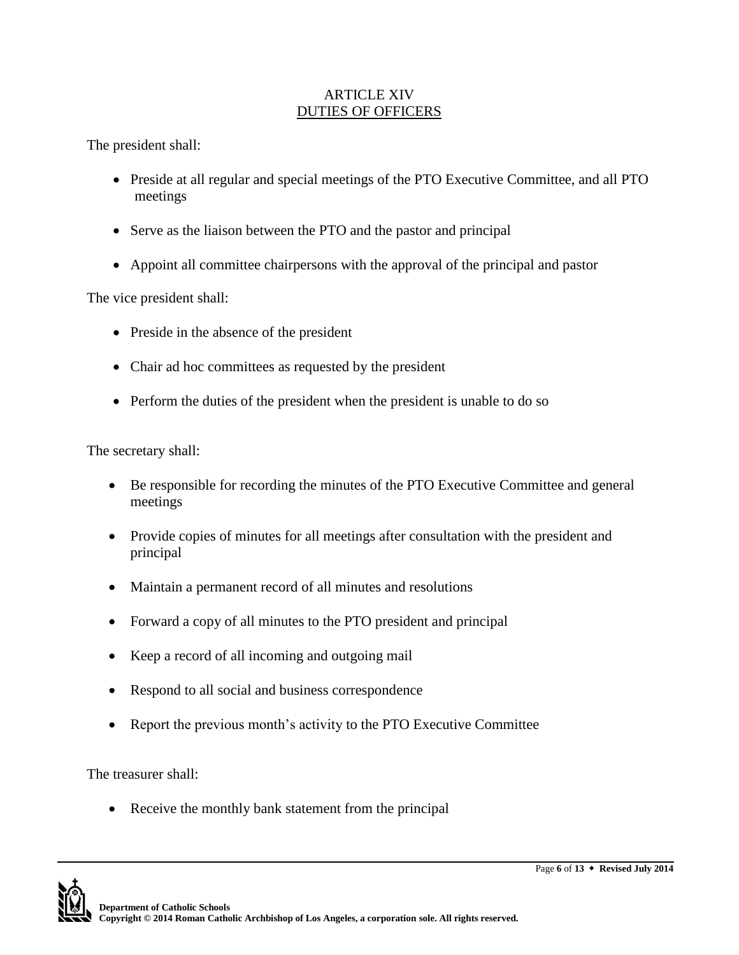## ARTICLE XIV DUTIES OF OFFICERS

The president shall:

- Preside at all regular and special meetings of the PTO Executive Committee, and all PTO meetings
- Serve as the liaison between the PTO and the pastor and principal
- Appoint all committee chairpersons with the approval of the principal and pastor

The vice president shall:

- Preside in the absence of the president
- Chair ad hoc committees as requested by the president
- Perform the duties of the president when the president is unable to do so

The secretary shall:

- Be responsible for recording the minutes of the PTO Executive Committee and general meetings
- Provide copies of minutes for all meetings after consultation with the president and principal
- Maintain a permanent record of all minutes and resolutions
- Forward a copy of all minutes to the PTO president and principal
- Keep a record of all incoming and outgoing mail
- Respond to all social and business correspondence
- Report the previous month's activity to the PTO Executive Committee

The treasurer shall:

• Receive the monthly bank statement from the principal

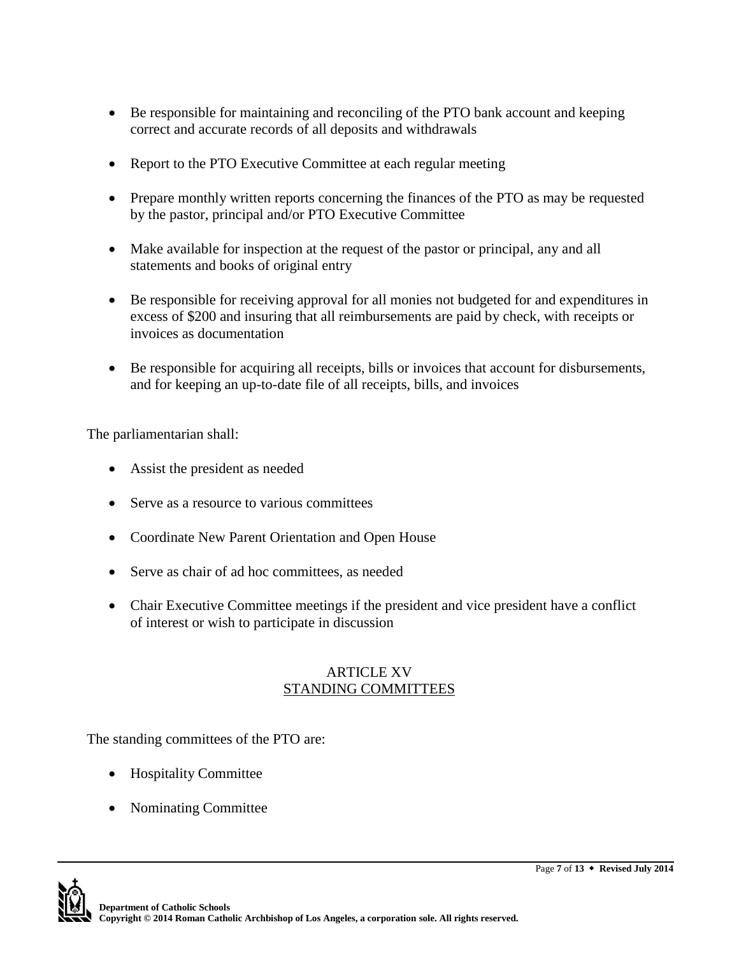- Be responsible for maintaining and reconciling of the PTO bank account and keeping correct and accurate records of all deposits and withdrawals
- Report to the PTO Executive Committee at each regular meeting
- Prepare monthly written reports concerning the finances of the PTO as may be requested by the pastor, principal and/or PTO Executive Committee
- Make available for inspection at the request of the pastor or principal, any and all statements and books of original entry
- Be responsible for receiving approval for all monies not budgeted for and expenditures in excess of \$200 and insuring that all reimbursements are paid by check, with receipts or invoices as documentation
- Be responsible for acquiring all receipts, bills or invoices that account for disbursements, and for keeping an up-to-date file of all receipts, bills, and invoices

The parliamentarian shall:

- Assist the president as needed
- Serve as a resource to various committees
- Coordinate New Parent Orientation and Open House
- Serve as chair of ad hoc committees, as needed
- Chair Executive Committee meetings if the president and vice president have a conflict of interest or wish to participate in discussion

#### ARTICLE XV STANDING COMMITTEES

The standing committees of the PTO are:

- Hospitality Committee
- Nominating Committee

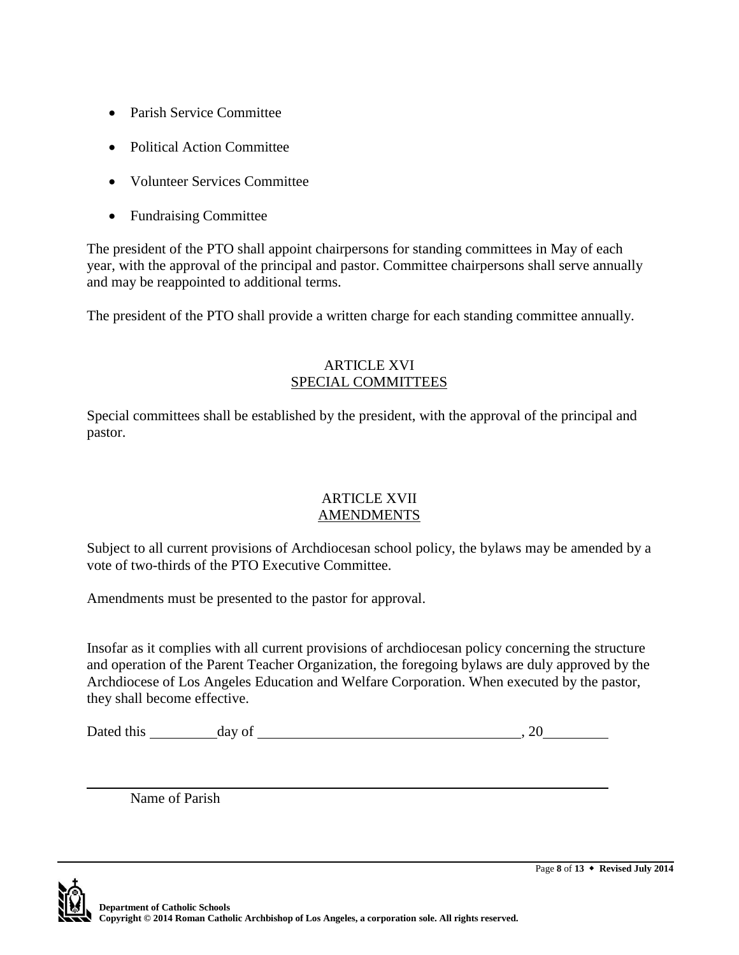- Parish Service Committee
- Political Action Committee
- Volunteer Services Committee
- Fundraising Committee

The president of the PTO shall appoint chairpersons for standing committees in May of each year, with the approval of the principal and pastor. Committee chairpersons shall serve annually and may be reappointed to additional terms.

The president of the PTO shall provide a written charge for each standing committee annually.

#### ARTICLE XVI SPECIAL COMMITTEES

Special committees shall be established by the president, with the approval of the principal and pastor.

#### ARTICLE XVII AMENDMENTS

Subject to all current provisions of Archdiocesan school policy, the bylaws may be amended by a vote of two-thirds of the PTO Executive Committee.

Amendments must be presented to the pastor for approval.

Insofar as it complies with all current provisions of archdiocesan policy concerning the structure and operation of the Parent Teacher Organization, the foregoing bylaws are duly approved by the Archdiocese of Los Angeles Education and Welfare Corporation. When executed by the pastor, they shall become effective.

| Dated this | day of | . |  |
|------------|--------|---|--|
|            |        |   |  |

Name of Parish

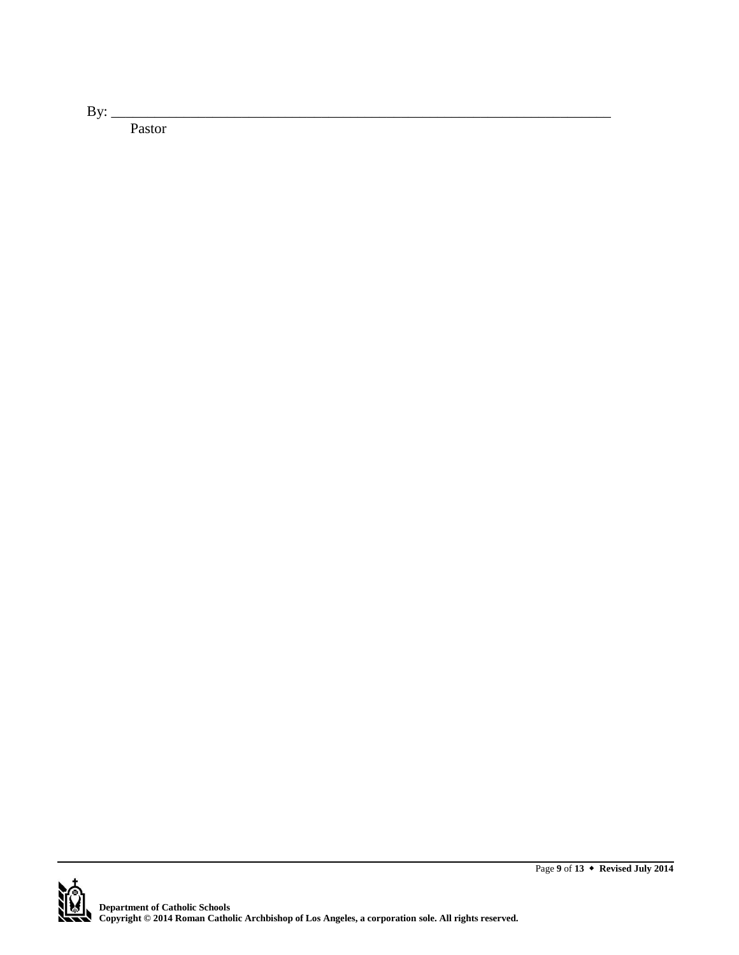By: $\frac{y}{x}$ 

Pastor

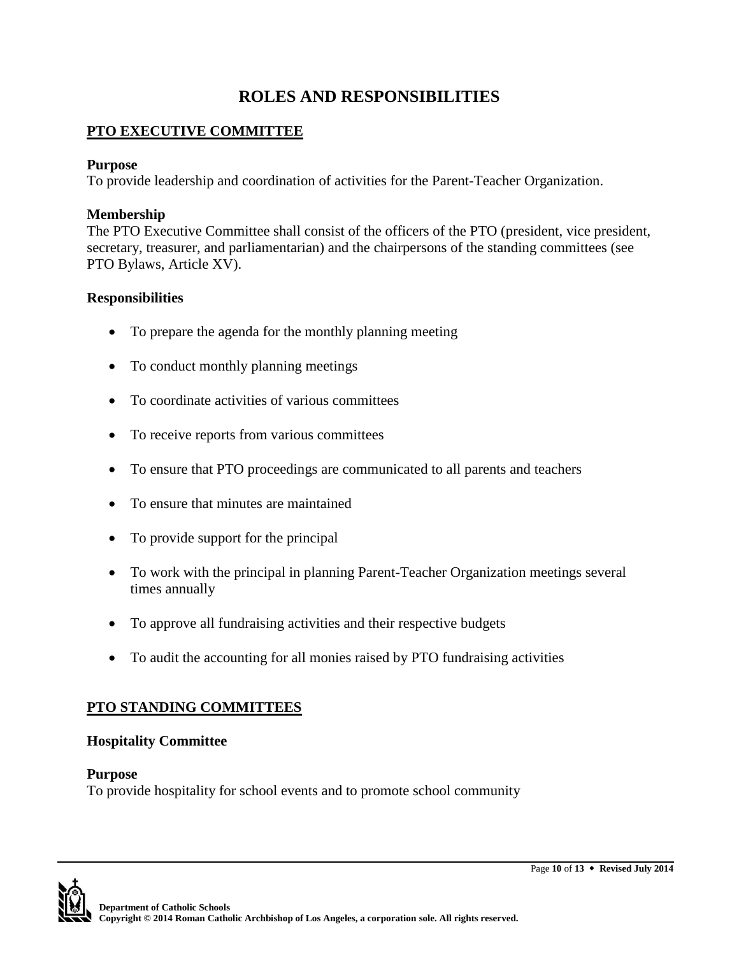# **ROLES AND RESPONSIBILITIES**

# **PTO EXECUTIVE COMMITTEE**

## **Purpose**

To provide leadership and coordination of activities for the Parent-Teacher Organization.

## **Membership**

The PTO Executive Committee shall consist of the officers of the PTO (president, vice president, secretary, treasurer, and parliamentarian) and the chairpersons of the standing committees (see PTO Bylaws, Article XV).

## **Responsibilities**

- To prepare the agenda for the monthly planning meeting
- To conduct monthly planning meetings
- To coordinate activities of various committees
- To receive reports from various committees
- To ensure that PTO proceedings are communicated to all parents and teachers
- To ensure that minutes are maintained
- To provide support for the principal
- To work with the principal in planning Parent-Teacher Organization meetings several times annually
- To approve all fundraising activities and their respective budgets
- To audit the accounting for all monies raised by PTO fundraising activities

## **PTO STANDING COMMITTEES**

#### **Hospitality Committee**

#### **Purpose**

To provide hospitality for school events and to promote school community

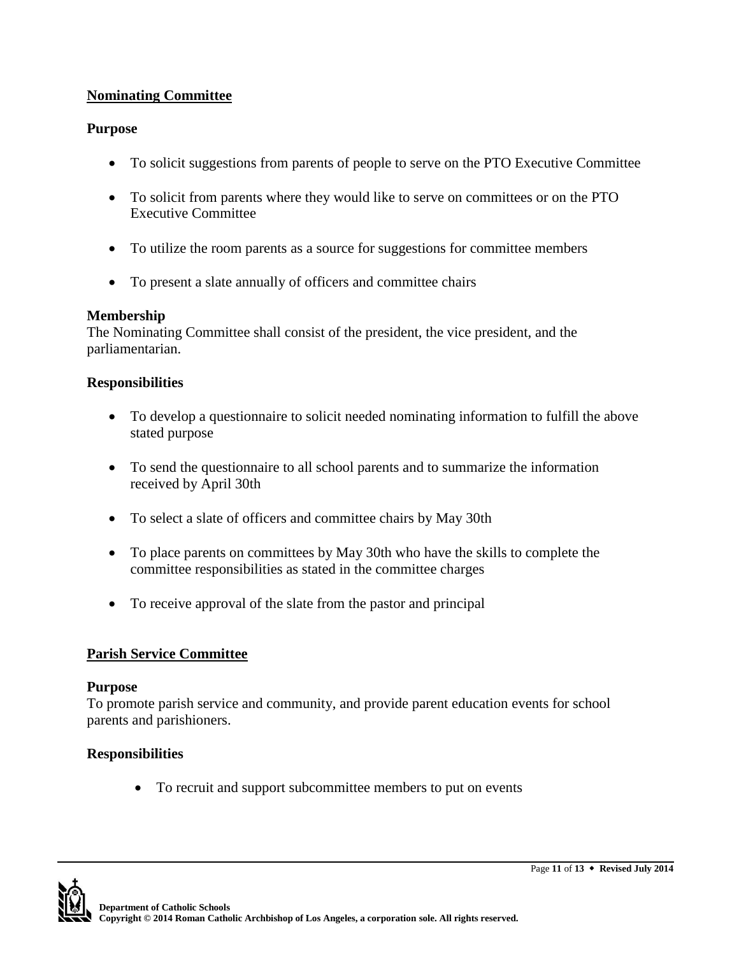## **Nominating Committee**

## **Purpose**

- To solicit suggestions from parents of people to serve on the PTO Executive Committee
- To solicit from parents where they would like to serve on committees or on the PTO Executive Committee
- To utilize the room parents as a source for suggestions for committee members
- To present a slate annually of officers and committee chairs

# **Membership**

The Nominating Committee shall consist of the president, the vice president, and the parliamentarian.

# **Responsibilities**

- To develop a questionnaire to solicit needed nominating information to fulfill the above stated purpose
- To send the questionnaire to all school parents and to summarize the information received by April 30th
- To select a slate of officers and committee chairs by May 30th
- To place parents on committees by May 30th who have the skills to complete the committee responsibilities as stated in the committee charges
- To receive approval of the slate from the pastor and principal

# **Parish Service Committee**

## **Purpose**

To promote parish service and community, and provide parent education events for school parents and parishioners.

# **Responsibilities**

To recruit and support subcommittee members to put on events

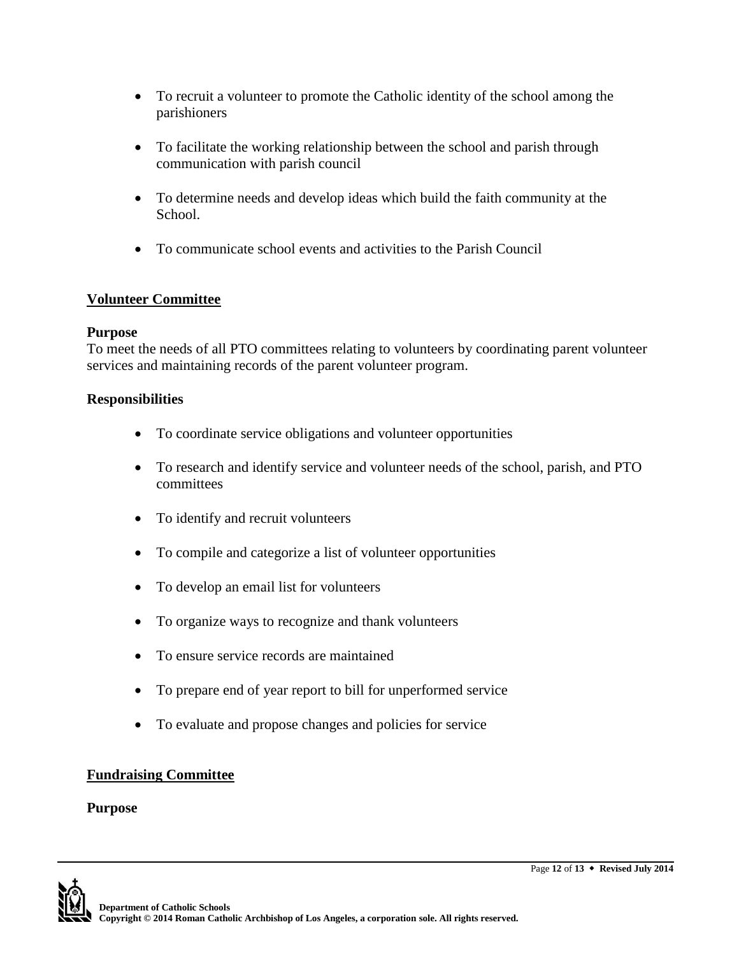- To recruit a volunteer to promote the Catholic identity of the school among the parishioners
- To facilitate the working relationship between the school and parish through communication with parish council
- To determine needs and develop ideas which build the faith community at the School.
- To communicate school events and activities to the Parish Council

# **Volunteer Committee**

## **Purpose**

To meet the needs of all PTO committees relating to volunteers by coordinating parent volunteer services and maintaining records of the parent volunteer program.

## **Responsibilities**

- To coordinate service obligations and volunteer opportunities
- To research and identify service and volunteer needs of the school, parish, and PTO committees
- To identify and recruit volunteers
- To compile and categorize a list of volunteer opportunities
- To develop an email list for volunteers
- To organize ways to recognize and thank volunteers
- To ensure service records are maintained
- To prepare end of year report to bill for unperformed service
- To evaluate and propose changes and policies for service

## **Fundraising Committee**

#### **Purpose**